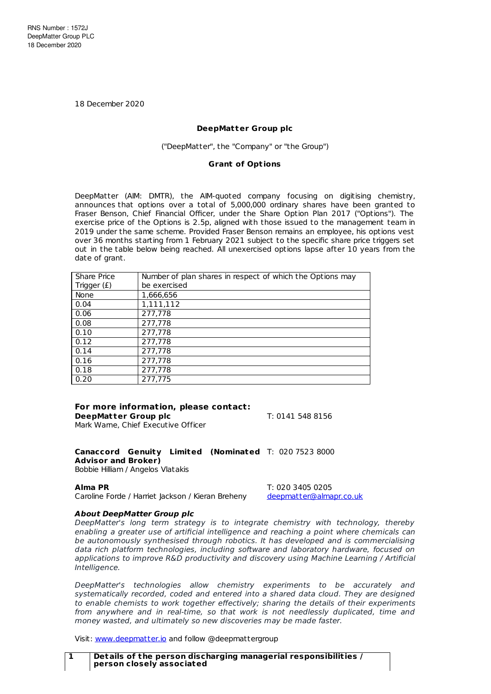18 December 2020

## **DeepMatter Group plc**

## ("DeepMatter", the "Company" or "the Group")

## **Grant of Opt ions**

DeepMatter (AIM: DMTR), the AIM-quoted company focusing on digitising chemistry, announces that options over a total of 5,000,000 ordinary shares have been granted to Fraser Benson, Chief Financial Officer, under the Share Option Plan 2017 ("Options"). The exercise price of the Options is 2.5p, aligned with those issued to the management team in 2019 under the same scheme. Provided Fraser Benson remains an employee, his options vest over 36 months starting from 1 February 2021 subject to the specific share price triggers set out in the table below being reached. All unexercised options lapse after 10 years from the date of grant.

| Share Price | Number of plan shares in respect of which the Options may |  |
|-------------|-----------------------------------------------------------|--|
| Trigger (£) | be exercised                                              |  |
| None        | 1,666,656                                                 |  |
| 0.04        | 1,111,112                                                 |  |
| 0.06        | 277.778                                                   |  |
| 0.08        | 277.778                                                   |  |
| 0.10        | 277,778                                                   |  |
| 0.12        | 277,778                                                   |  |
| 0.14        | 277,778                                                   |  |
| 0.16        | 277,778                                                   |  |
| 0.18        | 277,778                                                   |  |
| 0.20        | 277,775                                                   |  |

# **For more information, please contact: DeepMatter Group plc** T: 0141 548 8156

Mark Warne, Chief Executive Officer

**Canaccord Genuity Limited (Nominated** T: 020 7523 8000 **Advisor and Broker)** Bobbie Hilliam / Angelos Vlatakis

Caroline Forde / Harriet Jackson / Kieran Breheny [deepmatter@almapr.co.uk](mailto:deepmatter@almapr.co.uk)

**Alma PR** T: 020 3405 0205

## **About DeepMatter Group plc**

DeepMatter's long term strategy is to integrate chemistry with technology, thereby enabling a greater use of artificial intelligence and reaching a point where chemicals can be autonomously synthesised through robotics. It has developed and is commercialising data rich platform technologies, including software and laboratory hardware, focused on applications to improve R&D productivity and discovery using Machine Learning / Artificial Intelligence.

DeepMatter's technologies allow chemistry experiments to be accurately and systematically recorded, coded and entered into a shared data cloud. They are designed to enable chemists to work together effectively; sharing the details of their experiments from anywhere and in real-time, so that work is not needlessly duplicated, time and money wasted, and ultimately so new discoveries may be made faster.

Visit: [www.deepmatter.io](https://www.deepmatter.io/) and follow @deepmattergroup